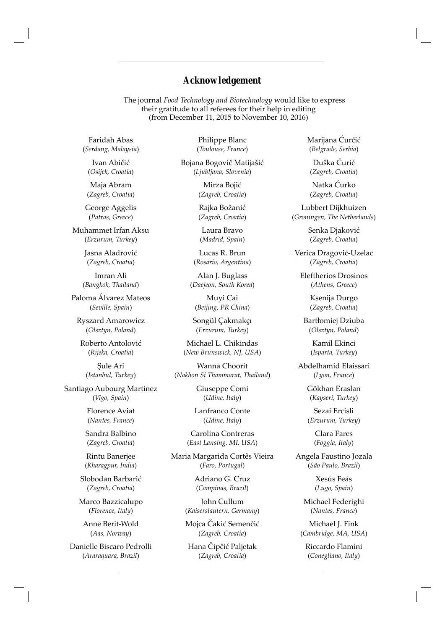## *Acknowledgement*

The journal *Food Technology and Biotechnology* would like to express their gratitude to all referees for their help in editing (from December 11, 2015 to November 10, 2016)

Faridah Abas (*Serdang, Malaysia*)

Ivan Abičić (*Osij ek, Croatia*)

Maja Abram (*Zagreb, Croatia*)

George Aggelis (*Patras, Greece*)

Muhammet Irfan Aksu (*Erzurum, Turkey*)

> Jasna Aladrović (*Zagreb, Croatia*)

Imran Ali (*Bangkok, Thailand*)

Paloma Álvarez Mateos (*Seville, Spain*)

Ryszard Amarowicz (*Olsztyn, Poland*)

Roberto Antolović (*Rij eka, Croatia*)

Şule Ari (*Istanbul, Turkey*)

Santiago Aubourg Martinez (*Vigo, Spain*)

> Florence Aviat (*Nantes, France*)

Sandra Balbino (*Zagreb, Croatia*)

Rintu Banerjee (*Kharagpur, India*)

Slobodan Barbarić (*Zagreb, Croatia*)

Marco Bazzicalupo (*Florence, Italy*)

Anne Berit-Wold (*Aas, Norway*)

Danielle Biscaro Pedrolli (*Araraquara, Brazil*)

Philippe Blanc (*Toulouse, France*)

Bojana Bogovič Matijašić (*Ljubljana, Slovenia*)

> Mirza Bojić (*Zagreb, Croatia*)

Rajka Božanić (*Zagreb, Croatia*)

Laura Bravo (*Madrid, Spain*)

Lucas R. Brun (*Rosario, Argentina*)

Alan J. Buglass (*Daejeon, South Korea*)

Muyi Cai (*Beij ing, PR China*)

Songül Çakmakçı (*Erzurum, Turkey*)

Michael L. Chikindas (*New Brunswick, NJ, USA*)

Wanna Choorit (*Nakhon Si Thammarat, Thailand*)

> Giuseppe Comi (*Udine, Italy*)

Lanfranco Conte (*Udine, Italy*)

Carolina Contreras (*East Lansing, MI, USA*)

Maria Margarida Cortês Vieira (*Faro, Portugal*)

> Adriano G. Cruz (*Campinas, Brazil*)

John Cullum (*Kaiserslautern, Germany*)

Mojca Čakić Semenčić (*Zagreb, Croatia*)

Hana Čipčić Paljetak (*Zagreb, Croatia*)

Marijana Ćurčić (*Belgrade, Serbia*)

Duška Ćurić (*Zagreb, Croatia*)

Natka Ćurko (*Zagreb, Croatia*)

Lubbert Dijkhuizen (*Groningen, The Netherlands*)

> Senka Djaković (*Zagreb, Croatia*)

Verica Dragović-Uzelac (*Zagreb, Croatia*)

Eleftherios Drosinos (*Athens, Greece*)

> Ksenija Durgo (*Zagreb, Croatia*)

Bartłomiej Dziuba (*Olsztyn, Poland*)

> Kamil Ekinci (*Isparta, Turkey*)

Abdelhamid Elaissari (*Lyon, France*)

> Gökhan Eraslan (*Kayseri, Turkey*)

Sezai Ercisli (*Erzurum, Turkey*)

> Clara Fares (*Foggia, Italy*)

Angela Faustino Jozala (*São Paulo, Brazil*)

> Xesús Feás (*Lugo, Spain*)

Michael Federighi (*Nantes, France*)

Michael J. Fink (*Cambridge, MA, USA*)

Riccardo Flamini (*Conegliano, Italy*)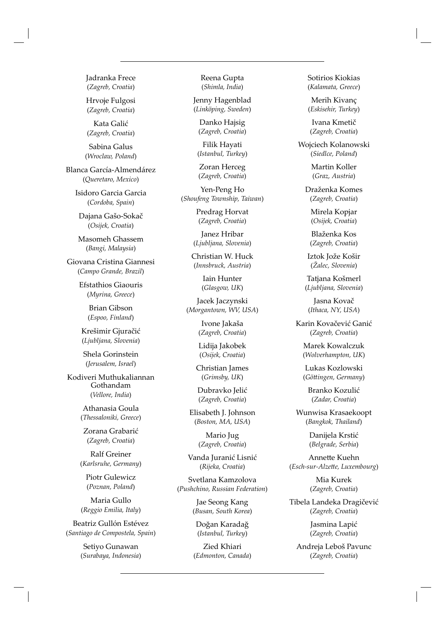Jadranka Frece (*Zagreb, Croatia*)

Hrvoje Fulgosi (*Zagreb, Croatia*)

Kata Galić (*Zagreb, Croatia*)

Sabina Galus (*Wroclaw, Poland*)

Blanca García-Almendárez (*Queretaro, Mexico*)

> Isidoro Garcia Garcia (*Cordoba, Spain*)

Dajana Gašo-Sokač (*Osij ek, Croatia*)

Masomeh Ghassem (*Bangi, Malaysia*)

Giovana Cristina Giannesi (*Campo Grande, Brazil*)

> Efstathios Giaouris (*Myrina, Greece*)

> > Brian Gibson (*Espoo, Finland*)

Krešimir Gjuračić (*Ljubljana, Slovenia*)

Shela Gorinstein (*Jerusalem, Israel*)

Kodiveri Muthukaliannan Gothandam (*Vellore, India*)

> Athanasia Goula (*Thessaloniki, Greece*)

Zorana Grabarić (*Zagreb, Croatia*)

Ralf Greiner (*Karlsruhe, Germany*)

Piotr Gulewicz (*Poznan, Poland*)

Maria Gullo (*Reggio Emilia, Italy*)

Beatriz Gullón Estévez (*Santiago de Compostela, Spain*)

> Setiyo Gunawan (*Surabaya, Indonesia*)

Reena Gupta (*Shimla, India*)

Jenny Hagenblad (*Linköping, Sweden*)

Danko Hajsig (*Zagreb, Croatia*)

Filik Hayati (*Istanbul, Turkey*)

Zoran Herceg (*Zagreb, Croatia*)

Yen-Peng Ho (*Shoufeng Township, Taiwan*)

> Predrag Horvat (*Zagreb, Croatia*)

Janez Hribar (*Ljubljana, Slovenia*)

Christian W. Huck (*Innsbruck, Austria*)

> Iain Hunter (*Glasgow, UK*)

Jacek Jaczynski (*Morgantown, WV, USA*)

> Ivone Jakaša (*Zagreb, Croatia*)

Lidija Jakobek (*Osij ek, Croatia*)

Christian James (*Grimsby, UK*)

Dubravko Jelić (*Zagreb, Croatia*)

Elisabeth J. Johnson (*Boston, MA, USA*)

> Mario Jug (*Zagreb, Croatia*)

Vanda Juranić Lisnić (*Rij eka, Croatia*)

Svetlana Kamzolova (*Pushchino, Russian Federation*)

> Jae Seong Kang (*Busan, South Korea*)

Doğan Karadağ (*Istanbul, Turkey*)

Zied Khiari (*Edmonton, Canada*) Sotirios Kiokias (*Kalamata, Greece*)

Merih Kivanç (*Eskisehir, Turkey*)

Ivana Kmetič (*Zagreb, Croatia*)

Wojciech Kolanowski (*Siedlce, Poland*)

> Martin Koller (*Graz, Austria*)

Draženka Komes (*Zagreb, Croatia*)

Mirela Kopjar (*Osij ek, Croatia*)

Blaženka Kos (*Zagreb, Croatia*)

Iztok Jože Košir (*Žalec, Slovenia*)

Tatjana Košmerl (*Ljubljana, Slovenia*)

Jasna Kovač (*Ithaca, NY, USA*)

Karin Kovačević Ganić (*Zagreb, Croatia*)

Marek Kowalczuk (*Wolverhampton, UK*)

Lukas Kozlowski (*Gött ingen, Germany*)

Branko Kozulić (*Zadar, Croatia*)

Wunwisa Krasaekoopt (*Bangkok, Thailand*)

> Danijela Krstić (*Belgrade, Serbia*)

Annette Kuehn (*Esch -sur-Alzett e, Luxembourg*)

> Mia Kurek (*Zagreb, Croatia*)

Tibela Landeka Dragičević (*Zagreb, Croatia*)

> Jasmina Lapić (*Zagreb, Croatia*)

Andreja Leboš Pavunc (*Zagreb, Croatia*)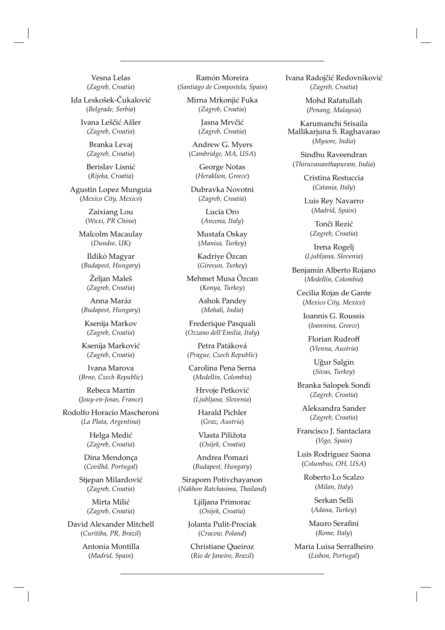Vesna Lelas (*Zagreb, Croatia*)

Ida Leskošek-Čukalović (*Belgrade, Serbia*)

> Ivana Leščić Ašler (*Zagreb, Croatia*)

Branka Levaj (*Zagreb, Croatia*)

Berislav Lisnić (*Rij eka, Croatia*)

Agustin Lopez Munguia (*Mexico City, Mexico*)

> Zaixiang Lou (*Wuxi, PR China*)

Malcolm Macaulay (*Dundee, UK*)

Ildikó Magyar (*Budapest, Hungary*)

Željan Maleš (*Zagreb, Croatia*)

Anna Maráz (*Budapest, Hungary*)

Ksenija Markov (*Zagreb, Croatia*)

Ksenija Marković (*Zagreb, Croatia*)

Ivana Marova (*Brno, Czech Republic*)

Rebeca Martín (*Jouy-en-Josas, France*)

Rodolfo Horacio Mascheroni (*La Plata, Argentina*)

> Helga Medić (*Zagreb, Croatia*)

Dina Mendonça (*Covilhã, Portugal*)

Stjepan Milardović (*Zagreb, Croatia*)

> Mirta Milić (*Zagreb, Croatia*)

David Alexander Mitchell (*Curitiba, PR, Brazil*)

> Antonia Montilla (*Madrid, Spain*)

Ramón Moreira (*Santiago de Compostela, Spain*)

> Mirna Mrkonjić Fuka (*Zagreb, Croatia*)

> > Jasna Mrvčić (*Zagreb, Croatia*)

Andrew G. Myers (*Cambridge, MA, USA*)

> George Notas (*Heraklion, Greece*)

Dubravka Novotni (*Zagreb, Croatia*)

> Lucia Oro (*Ancona, Italy*)

Mustafa Oskay (*Manisa, Turkey*)

Kadriye Özcan (*Giresun, Turkey*)

Mehmet Musa Özcan (*Konya, Turkey*)

> Ashok Pandey (*Mohali, India*)

Frederique Pasquali (*Ozzano dell'Emilia, Italy*)

Petra Patáková (*Prague, Czech Republic*)

Carolina Pena Serna (*Medellin, Colombia*)

Hrvoje Petković (*Ljubljana, Slovenia*)

Harald Pichler (*Graz, Austria*)

Vlasta Piližota (*Osij ek, Croatia*)

Andrea Pomazi (*Budapest, Hungary*)

Siraporn Potivchayanon (*Nakhon Ratchasima, Thailand*)

> Ljiljana Primorac (*Osij ek, Croatia*)

Jolanta Pulit-Prociak (*Cracow, Poland*)

Christiane Queiroz (*Rio de Janeiro, Brazil*)

Ivana Radojčić Redovniković (*Zagreb, Croatia*)

> Mohd Rafatullah (*Penang, Malaysia*)

Karumanchi Srisaila Mallikarjuna S. Raghavarao (*Mysore, India*)

Sindhu Raveendran (*Thiruvananthapuram, India*)

> Cristina Restuccia (*Catania, Italy*)

Luis Rey Navarro (*Madrid, Spain*)

Tonči Rezić (*Zagreb, Croatia*)

Irena Rogelj (*Ljubljana, Slovenia*)

Benjamín Alberto Rojano (*Medellín, Colombia*)

Cecilia Rojas de Gante (*Mexico City, Mexico*)

Ioannis G. Roussis (*Ioannina, Greece*)

Florian Rudroff (*Vienna, Austria*)

> Uğur Salgin (*Sivas, Turkey*)

Branka Salopek Sondi (*Zagreb, Croatia*)

Aleksandra Sander (*Zagreb, Croatia*)

Francisco J. Santaclara (*Vigo, Spain*)

Luis Rodriguez Saona (*Columbus, OH, USA*)

Roberto Lo Scalzo (*Milan, Italy*)

> Serkan Selli (*Adana, Turkey*)

Mauro Serafini (*Rome, Italy*)

Maria Luisa Serralheiro (*Lisbon, Portugal*)